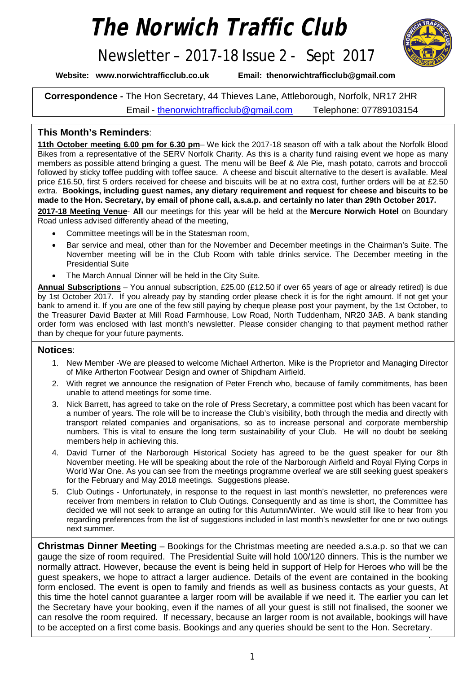# *The Norwich Traffic Club*

## Newsletter – 2017-18 Issue 2 - Sept 2017



**Website: [www.norwichtrafficclub.co.uk](http://www.norwichtrafficclub.co.uk) Email: [thenorwichtrafficclub@gmail.com](mailto:thenorwichtrafficclub@gmail.com)**

**Correspondence -** The Hon Secretary, 44 Thieves Lane, Attleborough, Norfolk, NR17 2HR Email - [thenorwichtrafficclub@gmail.com](mailto:thenorwichtrafficclub@gmail.com) Telephone: 07789103154

### **This Month's Reminders**:

**11th October meeting 6.00 pm for 6.30 pm**– We kick the 2017-18 season off with a talk about the Norfolk Blood Bikes from a representative of the SERV Norfolk Charity. As this is a charity fund raising event we hope as many members as possible attend bringing a guest. The menu will be Beef & Ale Pie, mash potato, carrots and broccoli followed by sticky toffee pudding with toffee sauce. A cheese and biscuit alternative to the desert is available. Meal price £16.50, first 5 orders received for cheese and biscuits will be at no extra cost, further orders will be at £2.50 extra. **Bookings, including guest names, any dietary requirement and request for cheese and biscuits to be made to the Hon. Secretary, by email of phone call, a.s.a.p. and certainly no later than 29th October 2017.**

**2017-18 Meeting Venue**- **All** our meetings for this year will be held at the **Mercure Norwich Hotel** on Boundary Road unless advised differently ahead of the meeting,

- Committee meetings will be in the Statesman room,
- Bar service and meal, other than for the November and December meetings in the Chairman's Suite. The November meeting will be in the Club Room with table drinks service. The December meeting in the Presidential Suite
- The March Annual Dinner will be held in the City Suite.

**Annual Subscriptions** – You annual subscription, £25.00 (£12.50 if over 65 years of age or already retired) is due by 1st October 2017. If you already pay by standing order please check it is for the right amount. If not get your bank to amend it. If you are one of the few still paying by cheque please post your payment, by the 1st October, to the Treasurer David Baxter at Mill Road Farmhouse, Low Road, North Tuddenham, NR20 3AB. A bank standing order form was enclosed with last month's newsletter. Please consider changing to that payment method rather than by cheque for your future payments.

#### **Notices**:

- 1. New Member -We are pleased to welcome Michael Artherton. Mike is the Proprietor and Managing Director of Mike Artherton Footwear Design and owner of Shipdham Airfield.
- 2. With regret we announce the resignation of Peter French who, because of family commitments, has been unable to attend meetings for some time.
- 3. Nick Barrett, has agreed to take on the role of Press Secretary, a committee post which has been vacant for a number of years. The role will be to increase the Club's visibility, both through the media and directly with transport related companies and organisations, so as to increase personal and corporate membership numbers. This is vital to ensure the long term sustainability of your Club. He will no doubt be seeking members help in achieving this.
- 4. David Turner of the Narborough Historical Society has agreed to be the guest speaker for our 8th November meeting. He will be speaking about the role of the Narborough Airfield and Royal Flying Corps in World War One. As you can see from the meetings programme overleaf we are still seeking guest speakers for the February and May 2018 meetings. Suggestions please.
- 5. Club Outings Unfortunately, in response to the request in last month's newsletter, no preferences were receiver from members in relation to Club Outings. Consequently and as time is short, the Committee has decided we will not seek to arrange an outing for this Autumn/Winter. We would still like to hear from you regarding preferences from the list of suggestions included in last month's newsletter for one or two outings next summer.

p.t.o. **Christmas Dinner Meeting** – Bookings for the Christmas meeting are needed a.s.a.p. so that we can gauge the size of room required. The Presidential Suite will hold 100/120 dinners. This is the number we normally attract. However, because the event is being held in support of Help for Heroes who will be the guest speakers, we hope to attract a larger audience. Details of the event are contained in the booking form enclosed. The event is open to family and friends as well as business contacts as your guests, At this time the hotel cannot guarantee a larger room will be available if we need it. The earlier you can let the Secretary have your booking, even if the names of all your guest is still not finalised, the sooner we can resolve the room required. If necessary, because an larger room is not available, bookings will have to be accepted on a first come basis. Bookings and any queries should be sent to the Hon. Secretary.